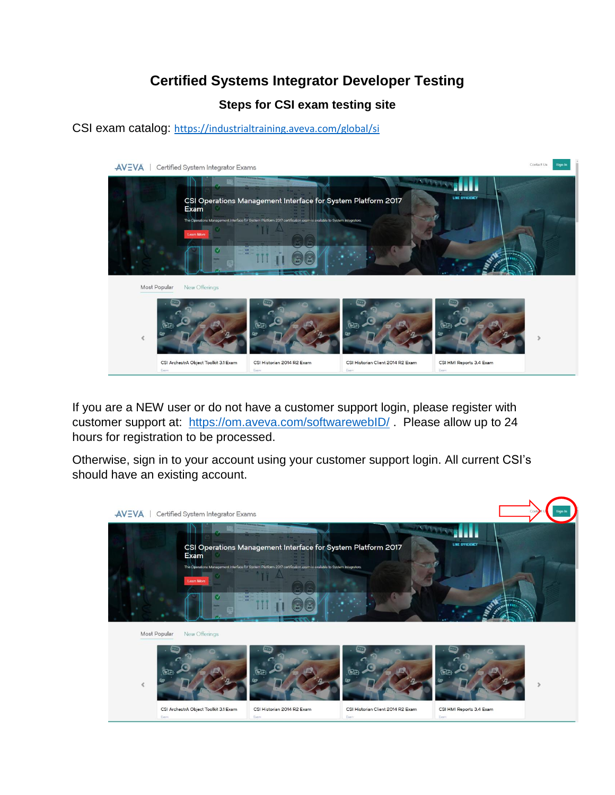# **Certified Systems Integrator Developer Testing**

# **Steps for CSI exam testing site**

CSI exam catalog: <https://industrialtraining.aveva.com/global/si>



If you are a NEW user or do not have a customer support login, please register with customer support at: <https://om.aveva.com/softwarewebID/> . Please allow up to 24 hours for registration to be processed.

Otherwise, sign in to your account using your customer support login. All current CSI's should have an existing account.

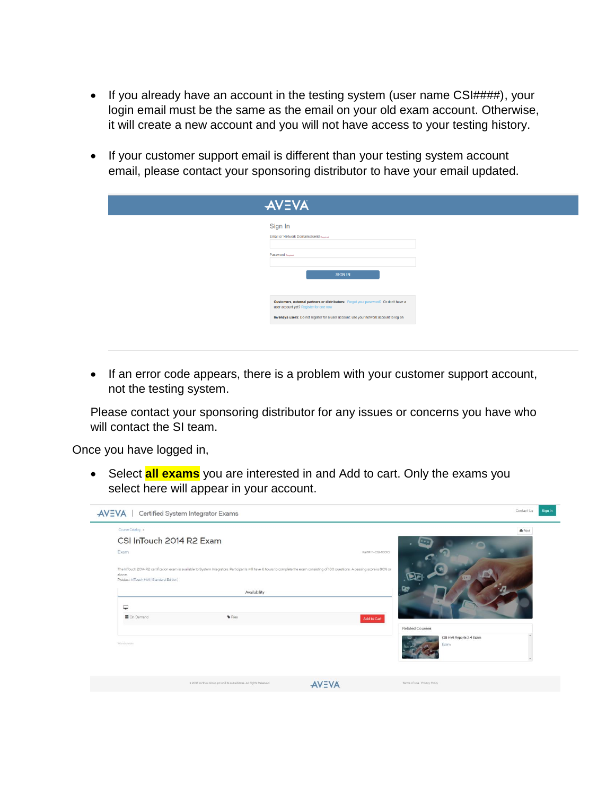- If you already have an account in the testing system (user name CSI####), your login email must be the same as the email on your old exam account. Otherwise, it will create a new account and you will not have access to your testing history.
- If your customer support email is different than your testing system account email, please contact your sponsoring distributor to have your email updated.

| <b>AVEVA</b>                                                                                                                                                                                                            |  |
|-------------------------------------------------------------------------------------------------------------------------------------------------------------------------------------------------------------------------|--|
| Sign In<br>Email or Network Domain\Userid Registed<br>Password Required<br><b>SIGN IN</b>                                                                                                                               |  |
| Customers, external partners or distributors: Forgot your password? Or don't have a<br>user account yet? Register for one now<br>Invensys users: Do not register for a user account; use your network account to log on |  |

• If an error code appears, there is a problem with your customer support account, not the testing system.

Please contact your sponsoring distributor for any issues or concerns you have who will contact the SI team.

Once you have logged in,

• Select **all exams** you are interested in and Add to cart. Only the exams you select here will appear in your account.

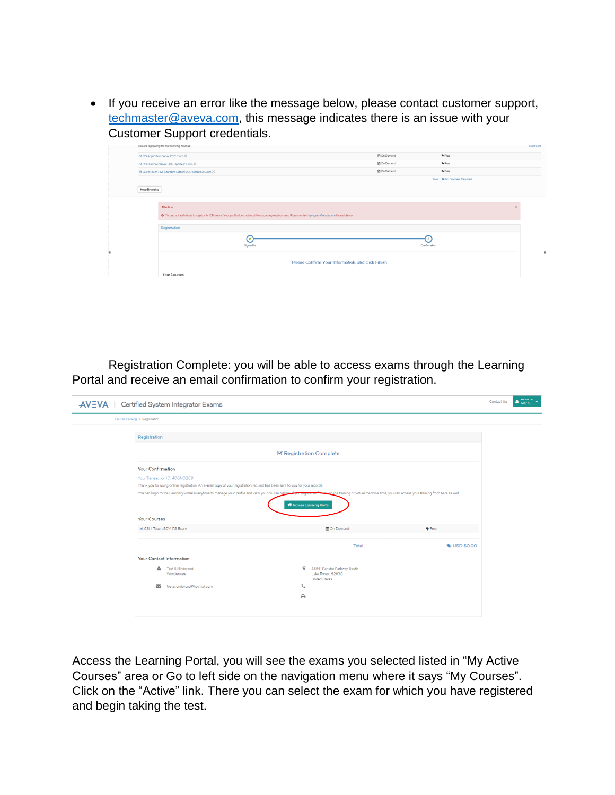• If you receive an error like the message below, please contact customer support, [techmaster@aveva.com,](mailto:techmaster@aveva.com) this message indicates there is an issue with your Customer Support credentials.

|  |                                              | You are registering for the following courses:                                                                                                                  |           |  |                   |              |                             | Clear Cart   |  |
|--|----------------------------------------------|-----------------------------------------------------------------------------------------------------------------------------------------------------------------|-----------|--|-------------------|--------------|-----------------------------|--------------|--|
|  | R CSI Application Server 2017 Exam X         |                                                                                                                                                                 |           |  | 兽On Demand        |              | Free                        |              |  |
|  | Ef CSI Historian Server 2017 Update 2 Exam % |                                                                                                                                                                 |           |  | 兽On Demand        |              | $P$ Froo                    |              |  |
|  |                                              | B' CSI InTouch HMI (Standard Edition) 2017 Update 2 Exam X                                                                                                      |           |  | <b>普On Demand</b> |              | $P$ Froo                    |              |  |
|  |                                              |                                                                                                                                                                 |           |  |                   |              | Total C No Payment Required |              |  |
|  | Keep Browsing                                |                                                                                                                                                                 |           |  |                   |              |                             |              |  |
|  |                                              |                                                                                                                                                                 |           |  |                   |              |                             |              |  |
|  |                                              | Attention:                                                                                                                                                      |           |  |                   |              |                             | $\mathbf{x}$ |  |
|  |                                              | . @ You are not authorized to register for CSI exams. Your profile does not meet the necessary requirements. Please contact siprogram@eveva.com for assistance. |           |  |                   |              |                             |              |  |
|  |                                              | Registration                                                                                                                                                    |           |  |                   |              |                             |              |  |
|  |                                              |                                                                                                                                                                 | ଚ         |  |                   |              |                             |              |  |
|  |                                              |                                                                                                                                                                 | Signed In |  |                   | Confirmation |                             |              |  |
|  |                                              |                                                                                                                                                                 |           |  |                   |              |                             |              |  |
|  |                                              | Please Confirm Your Information, and click Finish                                                                                                               |           |  |                   |              |                             |              |  |
|  |                                              | Your Courses                                                                                                                                                    |           |  |                   |              |                             |              |  |
|  |                                              |                                                                                                                                                                 |           |  |                   |              |                             |              |  |

Registration Complete: you will be able to access exams through the Learning Portal and receive an email confirmation to confirm your registration.

| Course Catalog > Registration<br>Registration<br><b>■ Registration Complete</b><br><b>Your Confirmation</b><br>Your Transaction ID: 40GN0BC9<br>Thank you for using online registration. An e-mail copy of your registration request has been sent to you for your records.<br>You can login to the Learning Portal at anytime to manage your profile and view your course history of the secure of the second of the containing or virtual machine time, you can access your training from here as well.<br>A Access Learning Portal<br><b>Your Courses</b><br><b>On Demand</b><br>Free<br>CSI InTouch 2014 R2 Exam<br>Total<br><b>WISD \$0.00</b><br>Your Contact Information<br>26561 Rancho Parkway South<br>$\mathsf Q$<br><b>Test SI Endorsed</b><br>Lake Forest, 92630<br>Wonderware<br><b>United States</b><br>$\mathcal{L}$<br>Z<br>test.si.endorsed@hotmail.com | Certified System Integrator Exams |   | Contact Us |
|---------------------------------------------------------------------------------------------------------------------------------------------------------------------------------------------------------------------------------------------------------------------------------------------------------------------------------------------------------------------------------------------------------------------------------------------------------------------------------------------------------------------------------------------------------------------------------------------------------------------------------------------------------------------------------------------------------------------------------------------------------------------------------------------------------------------------------------------------------------------------|-----------------------------------|---|------------|
|                                                                                                                                                                                                                                                                                                                                                                                                                                                                                                                                                                                                                                                                                                                                                                                                                                                                           |                                   |   |            |
|                                                                                                                                                                                                                                                                                                                                                                                                                                                                                                                                                                                                                                                                                                                                                                                                                                                                           |                                   |   |            |
|                                                                                                                                                                                                                                                                                                                                                                                                                                                                                                                                                                                                                                                                                                                                                                                                                                                                           |                                   |   |            |
|                                                                                                                                                                                                                                                                                                                                                                                                                                                                                                                                                                                                                                                                                                                                                                                                                                                                           |                                   |   |            |
|                                                                                                                                                                                                                                                                                                                                                                                                                                                                                                                                                                                                                                                                                                                                                                                                                                                                           |                                   |   |            |
|                                                                                                                                                                                                                                                                                                                                                                                                                                                                                                                                                                                                                                                                                                                                                                                                                                                                           |                                   |   |            |
|                                                                                                                                                                                                                                                                                                                                                                                                                                                                                                                                                                                                                                                                                                                                                                                                                                                                           |                                   |   |            |
|                                                                                                                                                                                                                                                                                                                                                                                                                                                                                                                                                                                                                                                                                                                                                                                                                                                                           |                                   |   |            |
|                                                                                                                                                                                                                                                                                                                                                                                                                                                                                                                                                                                                                                                                                                                                                                                                                                                                           |                                   |   |            |
|                                                                                                                                                                                                                                                                                                                                                                                                                                                                                                                                                                                                                                                                                                                                                                                                                                                                           |                                   |   |            |
|                                                                                                                                                                                                                                                                                                                                                                                                                                                                                                                                                                                                                                                                                                                                                                                                                                                                           |                                   |   |            |
|                                                                                                                                                                                                                                                                                                                                                                                                                                                                                                                                                                                                                                                                                                                                                                                                                                                                           |                                   |   |            |
|                                                                                                                                                                                                                                                                                                                                                                                                                                                                                                                                                                                                                                                                                                                                                                                                                                                                           |                                   |   |            |
|                                                                                                                                                                                                                                                                                                                                                                                                                                                                                                                                                                                                                                                                                                                                                                                                                                                                           |                                   |   |            |
|                                                                                                                                                                                                                                                                                                                                                                                                                                                                                                                                                                                                                                                                                                                                                                                                                                                                           |                                   | ₿ |            |

Access the Learning Portal, you will see the exams you selected listed in "My Active Courses" area or Go to left side on the navigation menu where it says "My Courses". Click on the "Active" link. There you can select the exam for which you have registered and begin taking the test.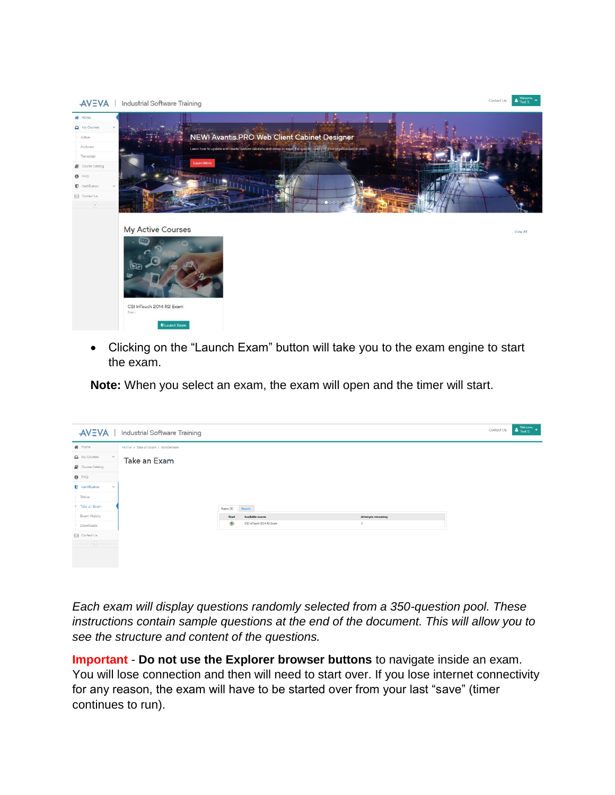

• Clicking on the "Launch Exam" button will take you to the exam engine to start the exam.

**Note:** When you select an exam, the exam will open and the timer will start.

| <b>AVEVA</b>                      | Industrial Software Training     |                                           |  |                           | Contact Us | $\begin{array}{ccc}\n&\text{Welcome.}\\ \bullet & \text{Test S.}\n\end{array}$ |
|-----------------------------------|----------------------------------|-------------------------------------------|--|---------------------------|------------|--------------------------------------------------------------------------------|
| <b>备</b> Home                     | Home > Take an Exam > Wonderware |                                           |  |                           |            |                                                                                |
| $\Box$ My Courses<br>$\checkmark$ | Take an Exam                     |                                           |  |                           |            |                                                                                |
| Course Catalog                    |                                  |                                           |  |                           |            |                                                                                |
| $\theta$ FAQ                      |                                  |                                           |  |                           |            |                                                                                |
| Certification<br>$\sim$           |                                  |                                           |  |                           |            |                                                                                |
| Status                            |                                  |                                           |  |                           |            |                                                                                |
| Take an Exam                      |                                  | Exams (1)<br>leports                      |  |                           |            |                                                                                |
| Exam History                      |                                  | Available exams<br>Start                  |  | <b>Attempts remaining</b> |            |                                                                                |
| Downloads                         |                                  | $\circledast$<br>CSI InTouch 2014 R2 Exam |  | $\overline{2}$            |            |                                                                                |
| <b>M</b> Contact Us               |                                  |                                           |  |                           |            |                                                                                |
| $\odot$                           |                                  |                                           |  |                           |            |                                                                                |
|                                   |                                  |                                           |  |                           |            |                                                                                |
|                                   |                                  |                                           |  |                           |            |                                                                                |

*Each exam will display questions randomly selected from a 350-question pool. These instructions contain sample questions at the end of the document. This will allow you to see the structure and content of the questions.*

**Important** - **Do not use the Explorer browser buttons** to navigate inside an exam. You will lose connection and then will need to start over. If you lose internet connectivity for any reason, the exam will have to be started over from your last "save" (timer continues to run).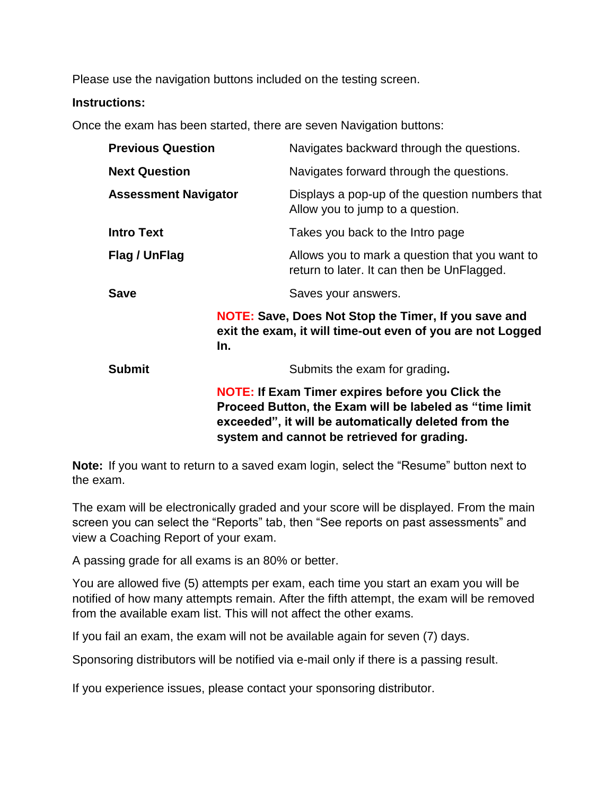Please use the navigation buttons included on the testing screen.

## **Instructions:**

Once the exam has been started, there are seven Navigation buttons:

| <b>Previous Question</b>    |                                                                                                                                                                                                                           | Navigates backward through the questions.                                                                                 |  |  |
|-----------------------------|---------------------------------------------------------------------------------------------------------------------------------------------------------------------------------------------------------------------------|---------------------------------------------------------------------------------------------------------------------------|--|--|
| <b>Next Question</b>        |                                                                                                                                                                                                                           | Navigates forward through the questions.                                                                                  |  |  |
| <b>Assessment Navigator</b> |                                                                                                                                                                                                                           | Displays a pop-up of the question numbers that<br>Allow you to jump to a question.                                        |  |  |
| <b>Intro Text</b>           |                                                                                                                                                                                                                           | Takes you back to the Intro page                                                                                          |  |  |
| Flag / UnFlag               |                                                                                                                                                                                                                           | Allows you to mark a question that you want to<br>return to later. It can then be UnFlagged.                              |  |  |
| <b>Save</b>                 |                                                                                                                                                                                                                           | Saves your answers.                                                                                                       |  |  |
|                             | In.                                                                                                                                                                                                                       | <b>NOTE: Save, Does Not Stop the Timer, If you save and</b><br>exit the exam, it will time-out even of you are not Logged |  |  |
| <b>Submit</b>               |                                                                                                                                                                                                                           | Submits the exam for grading.                                                                                             |  |  |
|                             | <b>NOTE: If Exam Timer expires before you Click the</b><br>Proceed Button, the Exam will be labeled as "time limit<br>exceeded", it will be automatically deleted from the<br>system and cannot be retrieved for grading. |                                                                                                                           |  |  |

**Note:** If you want to return to a saved exam login, select the "Resume" button next to the exam.

The exam will be electronically graded and your score will be displayed. From the main screen you can select the "Reports" tab, then "See reports on past assessments" and view a Coaching Report of your exam.

A passing grade for all exams is an 80% or better.

You are allowed five (5) attempts per exam, each time you start an exam you will be notified of how many attempts remain. After the fifth attempt, the exam will be removed from the available exam list. This will not affect the other exams.

If you fail an exam, the exam will not be available again for seven (7) days.

Sponsoring distributors will be notified via e-mail only if there is a passing result.

If you experience issues, please contact your sponsoring distributor.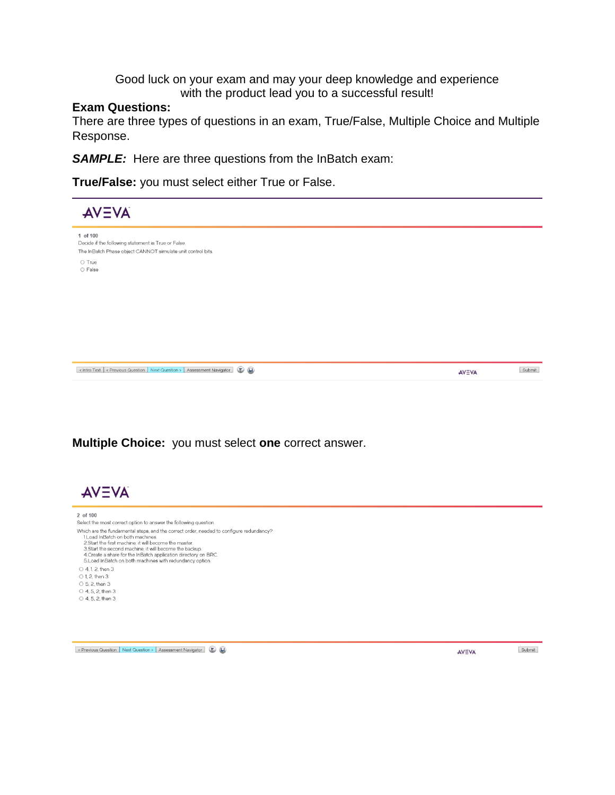### Good luck on your exam and may your deep knowledge and experience with the product lead you to a successful result!

### **Exam Questions:**

There are three types of questions in an exam, True/False, Multiple Choice and Multiple Response.

**SAMPLE:** Here are three questions from the InBatch exam:

**True/False:** you must select either True or False.



< Previous Question | Next Question > | Assessment Navigator | 1

AVEVA

Submit